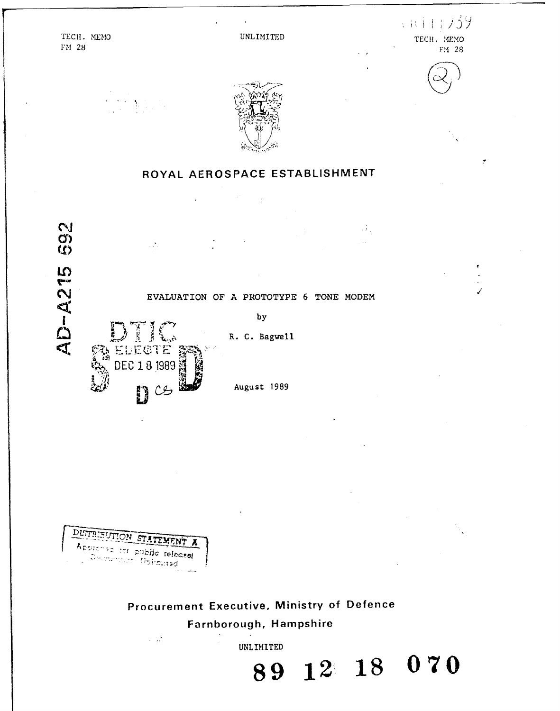$(1111739$ TECH. MEMO **UNLIMITED TECH.** *NEMO* **FM 28** FM2 **8**





# ROYAL **AEROSPACE ESTABLISHMENT**





Procurement Executive. Ministry of Defence Farnborough, Hampshire

 $\sim 12$ **UNLIMITED 89 12( 18 07 0**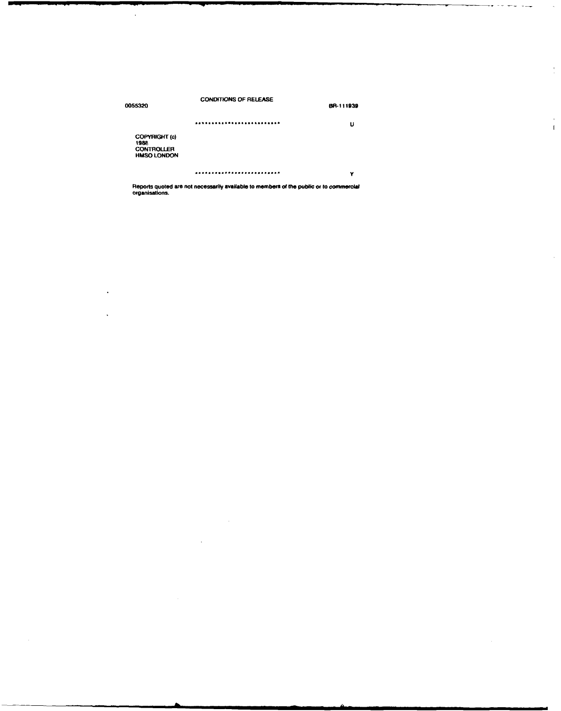| 0055320                                                          | <b>CONDITIONS OF RELEASE</b> | BR-111939 |
|------------------------------------------------------------------|------------------------------|-----------|
|                                                                  |                              | u         |
| COPYRIGHT (c)<br>1988<br><b>CONTROLLER</b><br><b>HMSO LONDON</b> |                              |           |
|                                                                  |                              | Y         |

 $\frac{1}{2}$ 

 $\bar{\beta}$  $\bar{1}$ 

 $\bar{z}$ 

 $\ddot{\phantom{0}}$ 

 $\ddot{\phantom{0}}$ 

k.

Reports quoted are not necessarily available to members **of the** public **or** to commercial organisations.

 $\sim 10^7$ 

 $\sim 10$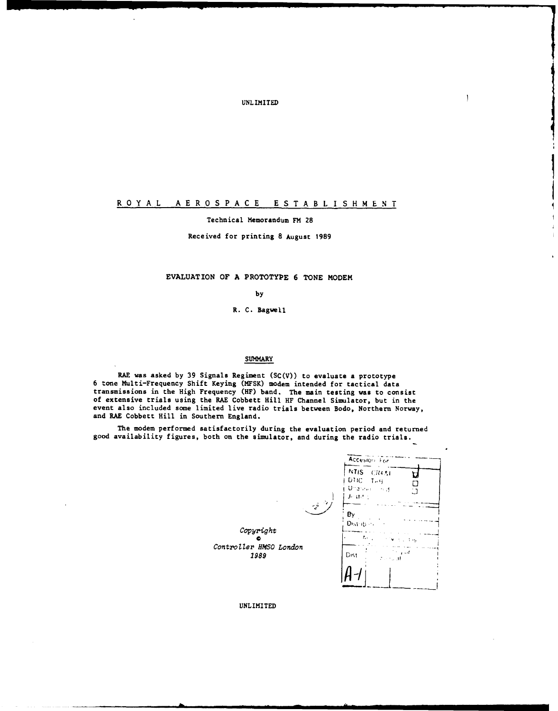**UNLIMITED** 

## ROYAL AEROSPACE ESTABLISHMENT

#### Technical Memorandum FM 28

Received for printing 8 August 1989

#### EVALUATION OF A PROTOTYPE 6 TONE MODEM

by

R. C. Bagwell

#### **SUMMARY**

RAE was asked by 39 Signals Regiment  $(SC(V))$  to evaluate a prototype 6 tone Multi-Frequency Shift Keying (MFSK) modem intended for tactical data<br>transmissions in the High Frequency (HF) band. The main testing was to consist of extensive trials using the RAE Cobbett Hill HF Channel Simulator, but in the event also included some limited live radio trials between Bodo, Northern Norway, and RAE Cobbett Hill in Southern England.

The modem performed satisfactorily during the evaluation period and returned good availability figures, both on the simulator, and during the radio trials.

|                                                                                                    | Accesion For                                                                                   |  |
|----------------------------------------------------------------------------------------------------|------------------------------------------------------------------------------------------------|--|
|                                                                                                    | NTIS CRASH<br>DTIC 1-9<br>Unareworth of<br>Ľ<br><b>Jestite</b>                                 |  |
| $\mathcal{L}^{\mathcal{G} \rightarrow \mathcal{M}}$<br>Copyright<br>Controller HMSO London<br>1989 | Bγ<br>Distribury<br>$\mathcal{F}_{\mathbf{a}}$<br><b>TIMES</b><br>t a cif<br>Dist<br>a securit |  |
|                                                                                                    |                                                                                                |  |

UNLIMITED

 $\overline{\phantom{a}}$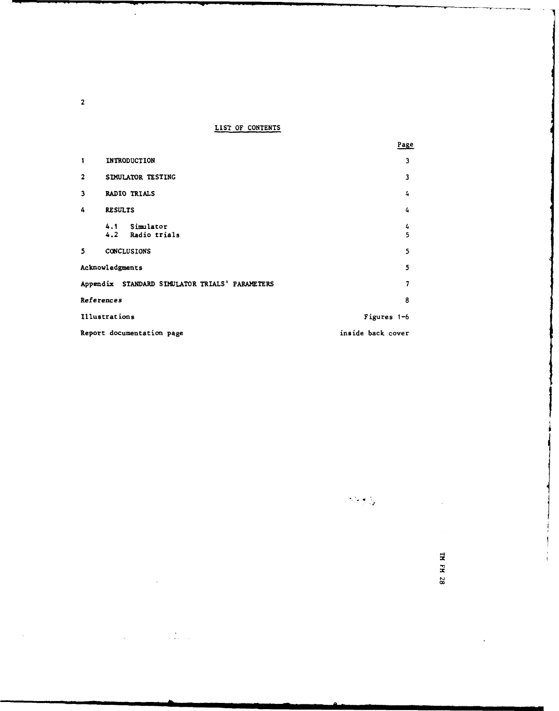**LIST** OF **CONTENTS**

|                |                                                | Page              |
|----------------|------------------------------------------------|-------------------|
| 1              | <b>INTRODUCTION</b>                            | 3                 |
| $\overline{2}$ | SIMULATOR TESTING                              | 3                 |
| 3              | <b>RADIO TRIALS</b>                            | 4                 |
| 4              | <b>RESULTS</b>                                 | 4                 |
|                | 4.1 Simulator<br>4.2 Radio trials              | 4<br>5            |
| 5              | <b>CONCLUSIONS</b>                             | 5                 |
|                | Acknowledgments                                | 5                 |
|                | Appendix STANDARD SIMULATOR TRIALS' PARAMETERS | 7                 |
|                | References                                     | 8                 |
|                | Illustrations                                  | Figures 1-6       |
|                | Report documentation page                      | inside back cover |

**-J**

TH FH 28

2

 $\hat{\boldsymbol{\gamma}}$ 

 $\ddot{\phantom{a}}$ 

 $\mathcal{L}^{\text{max}}_{\text{max}}$  and  $\mathcal{L}^{\text{max}}_{\text{max}}$ 

 $\mathbb{R}^2$ 

 $\ddot{\phantom{0}}$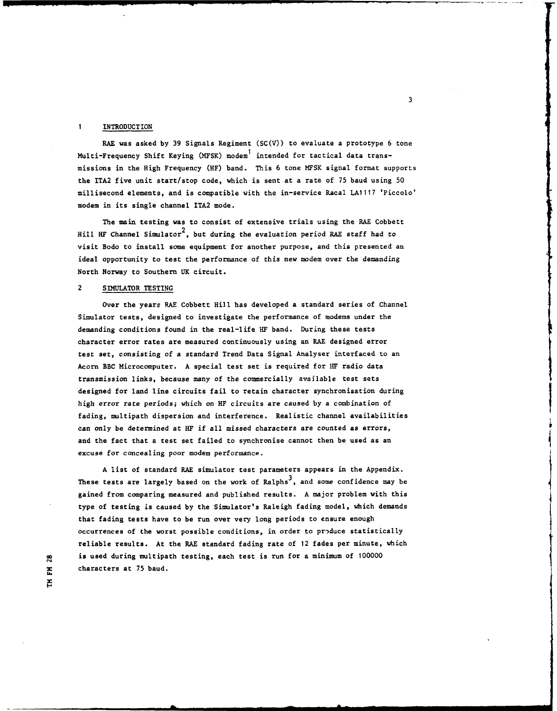#### 1 **INTRODUCTION**

RAE was asked **by** 39 Signals Regiment **(SC(V))** to evaluate a prototype 6 tone Multi-Frequency Shift Keying (MFSK) modem<sup>1</sup> intended for tactical data transmissions in the High Frequency (HF) band. This 6 tone MFSK signal format supports the ITA2 five unit start/stop code, which is sent at a rate of 75 baud using 50 millisecond elements, and is compatible with the in-service Racal **LA1117** 'Piccolo' modem in its single channel ITA2 mode.

The main testing was to consist of extensive trials using the RAE Cobbett Hill HF Channel Simulator<sup>2</sup>, but during the evaluation period RAE staff had to visit Bodo to install some equipment for another purpose, and this presented an ideal opportunity to test the performance of this new modem over the demanding North Norway to Southern **UK** circuit.

#### 2 SIMULATOR **TESTING**

Over the years RAE Cobbett Hill has developed a standard series of Channel Simulator tests, designed to investigate the performance of modems under the demanding conditions found in the real-life HF band. During these tests character error rates are measured continuously using an RAE designed error test set, consisting of a standard Trend Data Signal Analyser interfaced to an Acorn BBC Microcomputer. **A** special test set is required for HF radio data transmission links, because many of the commercially available test sets designed for land line circuits fail to retain character synchronisation during high error rate periods; which on HF circuits are caused **by** a combination of fading, multipath dispersion and interference. Realistic channel availabilities can only be determined at HF if all missed characters are counted as errors, and the fact that a test set failed to synchronise cannot then be used as an excuse for concealing poor modem performance.

**A** list of standard RAE simulator test parameters appears in the Appendix. These tests are largely based on the work of Ralphs<sup>3</sup>, and some confidence may be gained from comparing measured and published results. **A** major problem with this type of testing is caused **by** the Simulator's Raleigh fading model, which demands that fading tests have to be run over very long periods to ensure enough occurrences of the worst possible conditions, in order to produce statistically reliable results. At the RAE standard fading rate of 12 fades per minute, which **0** is used during multipath testing, each test is run for a minimum of 100000 characters at 75 baud.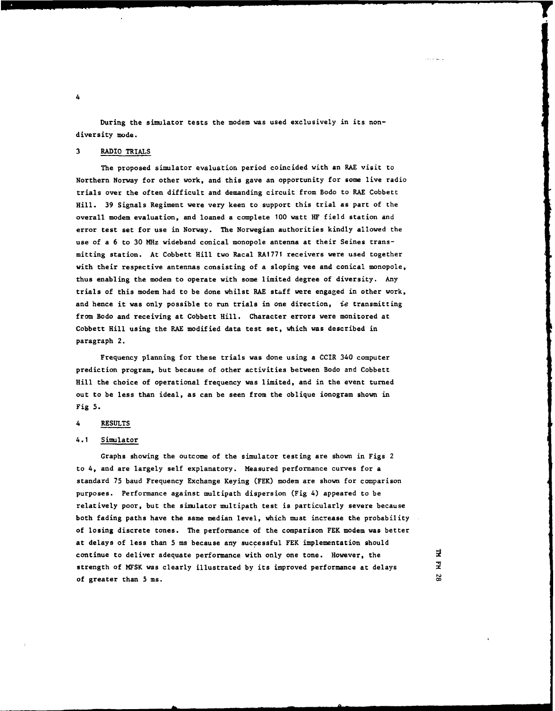During the simulator tests the modem was used exclusively in its nondiversity mode.

#### **3** RADIO TRIALS

The proposed simulator evaluation period coincided with an RAE visit to Northern Norway for other work, and this gave an opportunity for some live radio trials over the often difficult and demanding circuit from Bodo to RAE Cobbett Hill. **39** Signals Regiment were very keen to support this trial as part of the overall modem evaluation, **and** loaned a complete **100** watt HF field station and error test set for use in Norway. The Norwegian authorities kindly allowed the use of a 6 to **30** MHz wideband conical monopole antenna at their Seines transmitting station. At Cobbett Hill two Racal **RA1771** receivers were used together with their respective antennas consisting of a sloping vee and conical monopole, thus enabling the modem to operate with some limited degree of diversity. Any trials of this modem had to be done whilst RAE staff were engaged in other work, and hence it was only possible to run trials in one direction, *ie* transmitting from Bodo and receiving at Cobbett Hill. Character errors were monitored at Cobbett Hill using the RAE modified data test set, which was described in paragraph 2.

Frequency planning for these trials was done using a CCIR 340 computer prediction program, but because of other activities between Bodo and Cobbett Hill the choice of operational frequency was limited, and in the event turned out to be less than ideal, as can be seen from the oblique ionogram shown in Fig **5.**

#### 4 **RESULTS**

#### 4.1 Simulator

Graphs showing the outcome of the simulator testing are shown in Figs 2 to 4, and are largely self explanatory. Measured performance curves for a standard **75** baud Frequency Exchange Keying (FEK) modem are shown for comparison purposes. Performance against multipath dispersion (Fig 4) appeared to be relatively poor, but the simulator multipath test is particularly severe because both fading paths have the same median level, which must increase the probability of losing discrete tones. The performance of the comparison FEK modem was better at delays of less than **5 ms** because any successful FEK implementation should continue to deliver adequate performance with only one tone. However, the strength of **MFSK** was clearly illustrated by its improved performance at delays of greater than **5** ms.

보 궃 28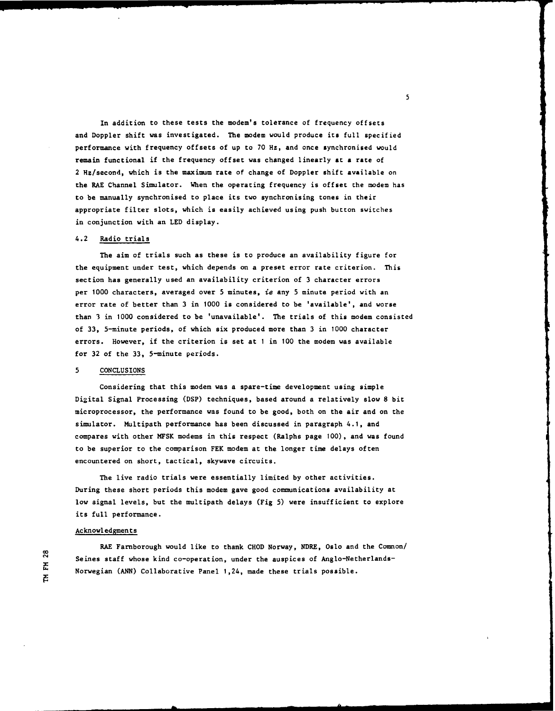In addition to these tests the modem's tolerance of frequency offsets and Doppler shift was investigated. The modem would produce its full specified performance with frequency offsets of up to **70** Hz, and once synchronised would remain functional if the frequency offset was changed linearly at **a** rate of 2 Hz/second, which is the maximum rate of change of Doppler shift available on the RAE Channel Simulator. When the operating frequency is offset the modem has to be manually synchronised to place its two synchronising tones in their appropriate filter slots, which is easily achieved using push button switches in conjunction with an **LED** display.

#### 4.2 Radio trials

The aim of trials such as these is to produce an availability figure for the equipment under test, which depends on a preset error rate criterion. This section has generally used an availability criterion of **3** character errors per **1000** characters, averaged over **5** minutes, ie any **5** minute period with an error rate of better than **3** in **1000** is considered to be 'available', and worse than **3** in **1000** considered to be 'unavailable'. The trials of this modem consisted of **33,** 5-minute periods, of which six produced more than **3** in **1000** character errors. However, if the criterion is set at 1 in **100** the modem was available for **32** of the **33,** 5-minute periods. st, which do<br>used an ava:<br>unreced over

#### **5 CONCLUSIONS**

Considering that this modem was a spare-time development using simple Digital Signal Processing **(DSP)** techniques, based around a relatively slow **8** bit microprocessor, the performance was found to be good, both on the air and on the simulator. Multipath performance has been discussed in paragraph 4.1, and compares with other MFSK modems in this respect (Ralphs page **100),** and was found to be superior to the comparison FEK modem at the longer time delays often encountered on short, tactical, skywave circuits.

The live radio trials were essentially limited **by** other activities. During these short periods this modem gave good communications availability at low signal levels, but the multipath delays (Fig **5)** were insufficient to explore its full performance.

#### Acknowledgments

RAE Farnborough would like to thank **CHOD** Norway, NDRE, Oslo and the Comnon/ Seines staff whose kind co-operation, under the auspices of Anglo-Netherlands Norwegian **(ANN)** Collaborative Panel 1,24, made these trials possible.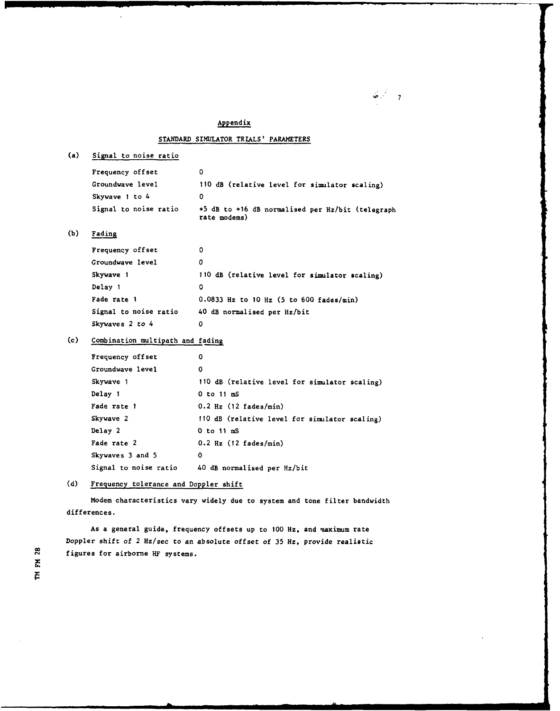## Appendix STANDARD SIMULATOR TRIALS' PARAMETERS (a) Signal to noise ratio Frequency offset **0** Groundwave level 110 dB (relative level for simulator scaling) Skywave 1 to 4 0 Signal to noise ratio +5 dB to +16 dB normalised per Hz/bit (telegraph rate modems) **(b)** Fading Frequency offset 0 Groundwave level 0 Skywave **1** 110 dB (relative level for simulator scaling) Delay **1 0** Fade rate **1** 0.0833 Hz to **10** Hz **(5** to 600 fades/min) Signal to noise ratio 40 dB normalised per Hz/bit Skywaves 2 to 4 **0** (c) Combination multipath and fading Frequency offset **0** Groundwave level **0** Skywave 1 110 dB (relative level for simulator scaling) Delay **1 0** to 11 **mS** Fade rate **1** 0.2 Hz (12 fades/min) Skywave 2 **110** dB (relative level for simulator scaling)

Delay 2 **0** to **11 m** Fade rate 2 0.2 Hz (12 fades/min) Skywaves **3** and **5 0**

Signal to noise ratio 40 dB normalised per Hz/bit

**(d)** Frequency tolerance and Doppler shift

Modem characteristics vary widely due to system and tone filter bandwidth differences.

As a general guide, frequency offsets up to 100 Hz, and maximum rate Doppler shift of 2 Hz/sec to an absolute offset of **35** Hz, provide realistic figures for airborne HF systems.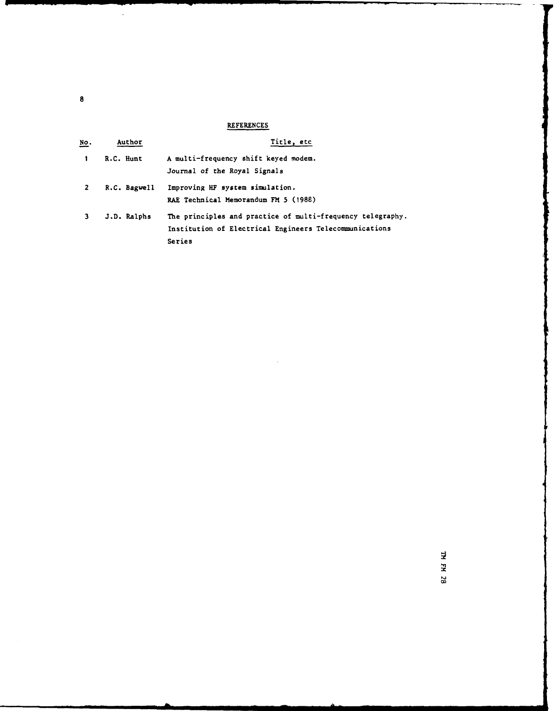## **REFERENCES**

| <u>No</u> . | Author       | Title, etc.                                                                                                                    |
|-------------|--------------|--------------------------------------------------------------------------------------------------------------------------------|
|             | R.C. Hunt    | A multi-frequency shift keyed modem.<br>Journal of the Royal Signals                                                           |
| 2           | R.C. Bagwell | Improving HF system simulation.<br>RAE Technical Memorandum FM 5 (1988)                                                        |
|             | J.D. Ralphs  | The principles and practice of multi-frequency telegraphy.<br>Institution of Electrical Engineers Telecommunications<br>Series |

**8**

 $\langle \rangle$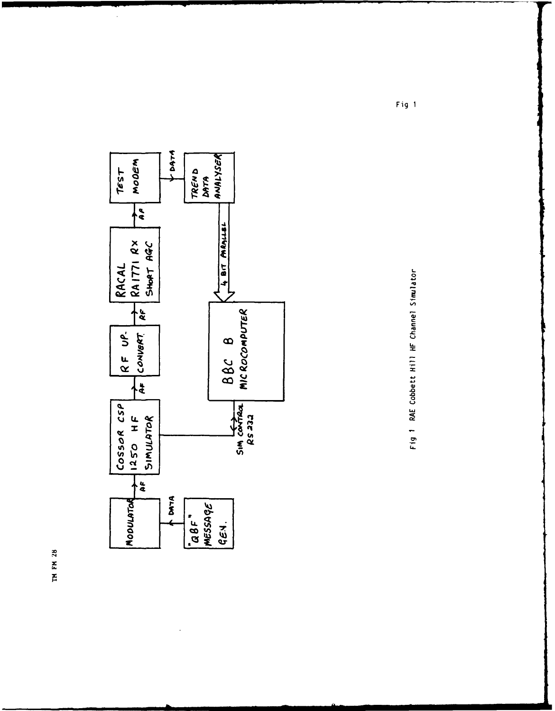

Fig 1 RAE Cobbett Hill HF Channel Simulator

Fig 1

TM FM 28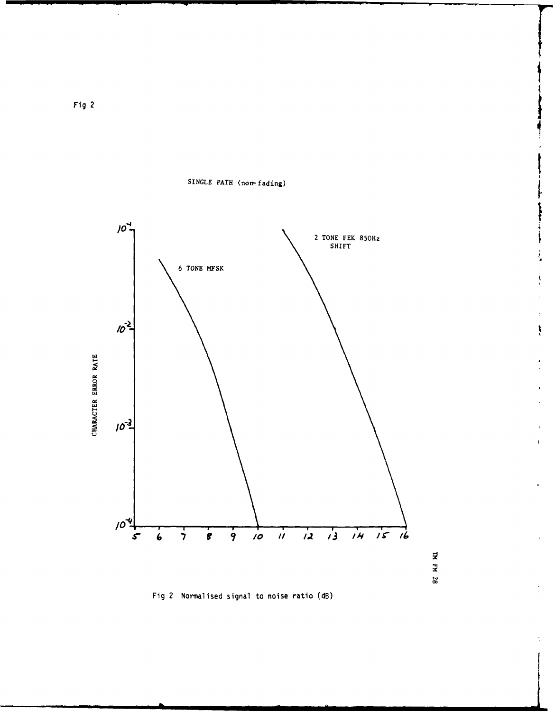

ķ

ŗ

 $\blacksquare$ 

 $\Xi$ FH 28

SINGLE PATH (non-fading)



 $\hat{\mathcal{A}}$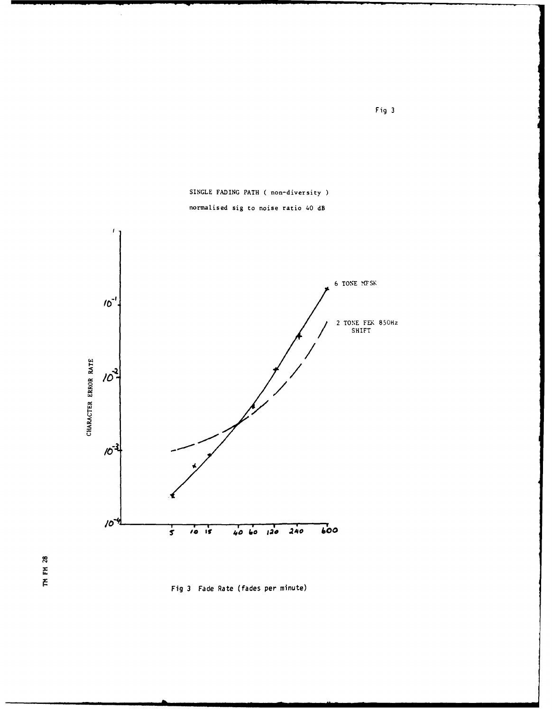



### normalised sig to noise ratio 40 dB

 $\hat{\mathcal{A}}$ 

TH FH 28



Fig 3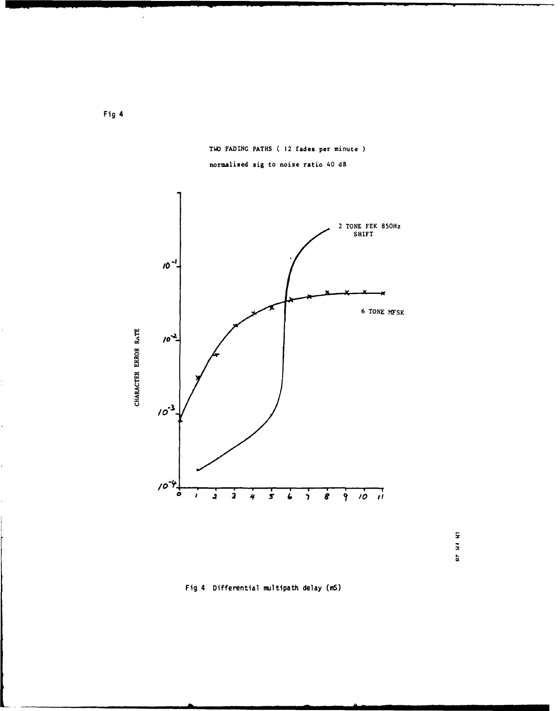

TWO FADING PATHS ( 12 fades per minute ) normalised sig to noise ratio 40 dB



Fig 4 Differential multipath delay (mS)

j.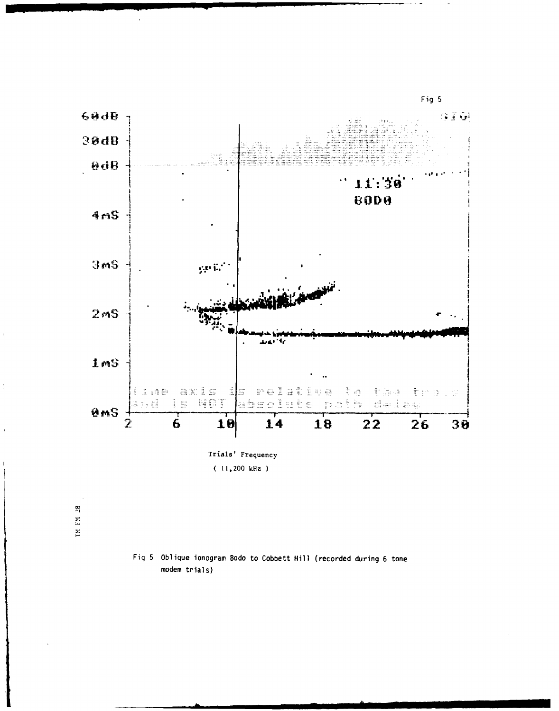

Fig 5 Oblique ionogram Bodo to Cobbett Hill (recorded during 6 tone modem trials)

 $\frac{28}{1}$  $\Xi$  $\overline{\Xi}$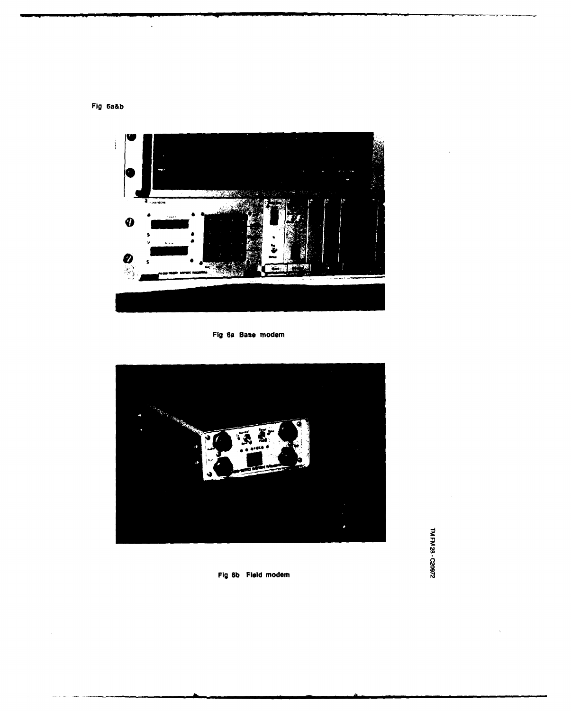**Fig** 6a&b

 $\overline{\phantom{a}}$ 



Fig 6a Base modem



**Fig 6b Field** modem

TM FM 28 - C20972